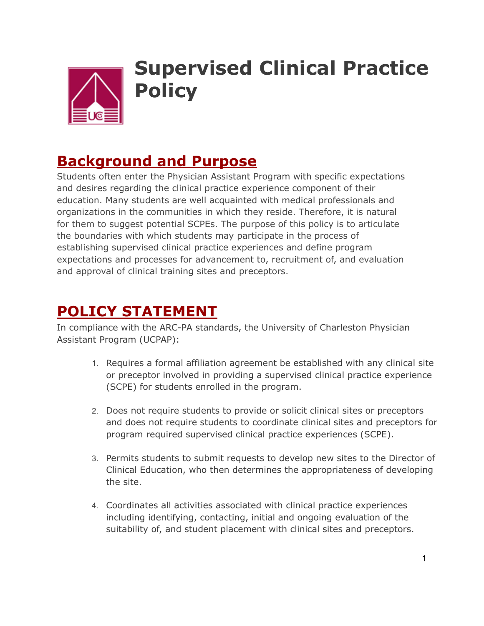

# **Supervised Clinical Practice Policy**

# **Background and Purpose**

Students often enter the Physician Assistant Program with specific expectations and desires regarding the clinical practice experience component of their education. Many students are well acquainted with medical professionals and organizations in the communities in which they reside. Therefore, it is natural for them to suggest potential SCPEs. The purpose of this policy is to articulate the boundaries with which students may participate in the process of establishing supervised clinical practice experiences and define program expectations and processes for advancement to, recruitment of, and evaluation and approval of clinical training sites and preceptors.

# **POLICY STATEMENT**

In compliance with the ARC-PA standards, the University of Charleston Physician Assistant Program (UCPAP):

- 1. Requires a formal affiliation agreement be established with any clinical site or preceptor involved in providing a supervised clinical practice experience (SCPE) for students enrolled in the program.
- 2. Does not require students to provide or solicit clinical sites or preceptors and does not require students to coordinate clinical sites and preceptors for program required supervised clinical practice experiences (SCPE).
- 3. Permits students to submit requests to develop new sites to the Director of Clinical Education, who then determines the appropriateness of developing the site.
- 4. Coordinates all activities associated with clinical practice experiences including identifying, contacting, initial and ongoing evaluation of the suitability of, and student placement with clinical sites and preceptors.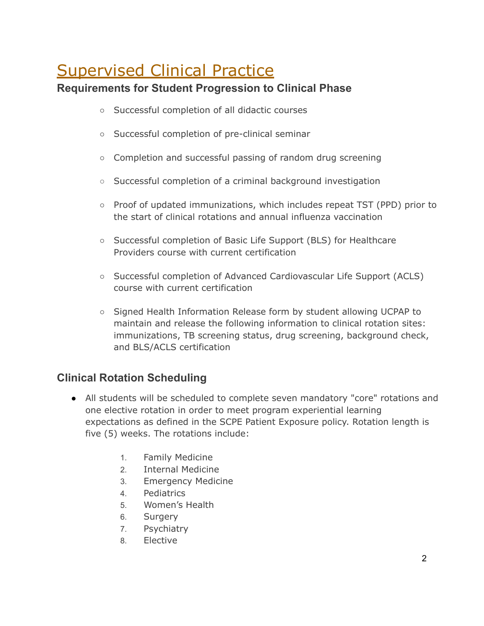# Supervised Clinical Practice

# **Requirements for Student Progression to Clinical Phase**

- Successful completion of all didactic courses
- Successful completion of pre-clinical seminar
- Completion and successful passing of random drug screening
- Successful completion of a criminal background investigation
- Proof of updated immunizations, which includes repeat TST (PPD) prior to the start of clinical rotations and annual influenza vaccination
- Successful completion of Basic Life Support (BLS) for Healthcare Providers course with current certification
- Successful completion of Advanced Cardiovascular Life Support (ACLS) course with current certification
- Signed Health Information Release form by student allowing UCPAP to maintain and release the following information to clinical rotation sites: immunizations, TB screening status, drug screening, background check, and BLS/ACLS certification

### **Clinical Rotation Scheduling**

- All students will be scheduled to complete seven mandatory "core" rotations and one elective rotation in order to meet program experiential learning expectations as defined in the SCPE Patient Exposure policy. Rotation length is five (5) weeks. The rotations include:
	- 1. Family Medicine
	- 2. Internal Medicine
	- 3. Emergency Medicine
	- 4. Pediatrics
	- 5. Women's Health
	- 6. Surgery
	- 7. Psychiatry
	- 8. Elective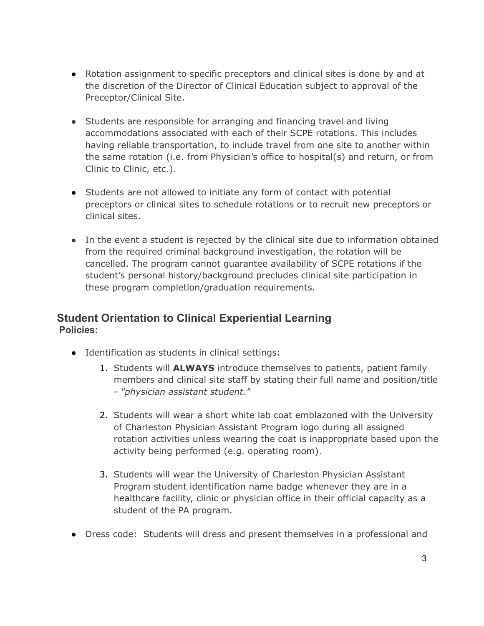- Rotation assignment to specific preceptors and clinical sites is done by and at the discretion of the Director of Clinical Education subject to approval of the Preceptor/Clinical Site.
- Students are responsible for arranging and financing travel and living accommodations associated with each of their SCPE rotations. This includes having reliable transportation, to include travel from one site to another within the same rotation (i.e. from Physician's office to hospital(s) and return, or from Clinic to Clinic, etc.).
- Students are not allowed to initiate any form of contact with potential preceptors or clinical sites to schedule rotations or to recruit new preceptors or clinical sites.
- In the event a student is rejected by the clinical site due to information obtained from the required criminal background investigation, the rotation will be cancelled. The program cannot guarantee availability of SCPE rotations if the student's personal history/background precludes clinical site participation in these program completion/graduation requirements.

#### **Student Orientation to Clinical Experiential Learning Policies:**

- Identification as students in clinical settings:
	- 1. Students will **ALWAYS** introduce themselves to patients, patient family members and clinical site staff by stating their full name and position/title - *"physician assistant student."*
	- 2. Students will wear a short white lab coat emblazoned with the University of Charleston Physician Assistant Program logo during all assigned rotation activities unless wearing the coat is inappropriate based upon the activity being performed (e.g. operating room).
	- 3. Students will wear the University of Charleston Physician Assistant Program student identification name badge whenever they are in a healthcare facility, clinic or physician office in their official capacity as a student of the PA program.
- Dress code: Students will dress and present themselves in a professional and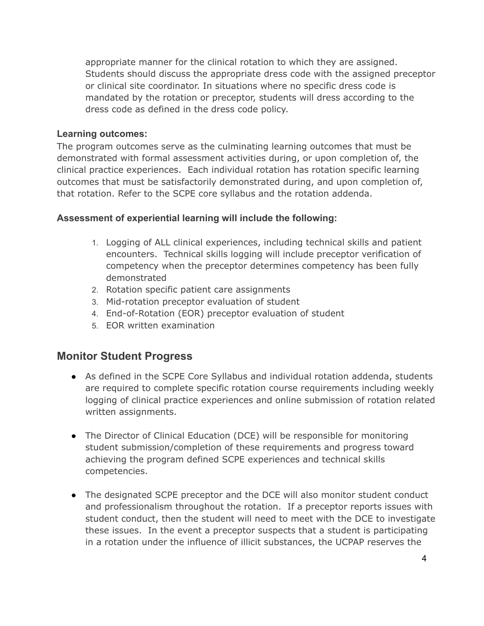appropriate manner for the clinical rotation to which they are assigned. Students should discuss the appropriate dress code with the assigned preceptor or clinical site coordinator. In situations where no specific dress code is mandated by the rotation or preceptor, students will dress according to the dress code as defined in the dress code policy.

#### **Learning outcomes:**

The program outcomes serve as the culminating learning outcomes that must be demonstrated with formal assessment activities during, or upon completion of, the clinical practice experiences. Each individual rotation has rotation specific learning outcomes that must be satisfactorily demonstrated during, and upon completion of, that rotation. Refer to the SCPE core syllabus and the rotation addenda.

#### **Assessment of experiential learning will include the following:**

- 1. Logging of ALL clinical experiences, including technical skills and patient encounters. Technical skills logging will include preceptor verification of competency when the preceptor determines competency has been fully demonstrated
- 2. Rotation specific patient care assignments
- 3. Mid-rotation preceptor evaluation of student
- 4. End-of-Rotation (EOR) preceptor evaluation of student
- 5. EOR written examination

#### **Monitor Student Progress**

- As defined in the SCPE Core Syllabus and individual rotation addenda, students are required to complete specific rotation course requirements including weekly logging of clinical practice experiences and online submission of rotation related written assignments.
- The Director of Clinical Education (DCE) will be responsible for monitoring student submission/completion of these requirements and progress toward achieving the program defined SCPE experiences and technical skills competencies.
- The designated SCPE preceptor and the DCE will also monitor student conduct and professionalism throughout the rotation. If a preceptor reports issues with student conduct, then the student will need to meet with the DCE to investigate these issues. In the event a preceptor suspects that a student is participating in a rotation under the influence of illicit substances, the UCPAP reserves the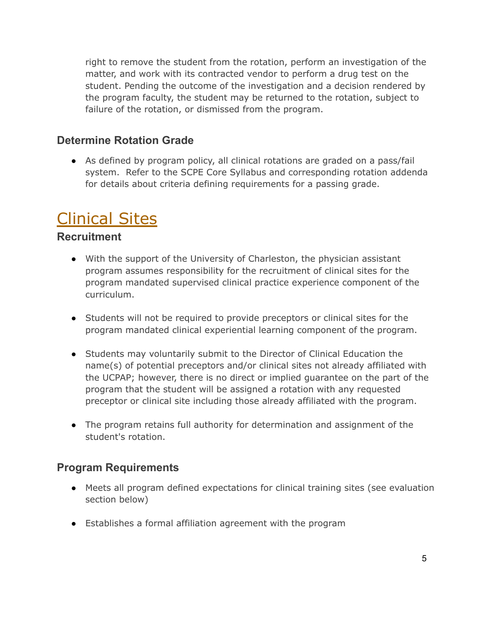right to remove the student from the rotation, perform an investigation of the matter, and work with its contracted vendor to perform a drug test on the student. Pending the outcome of the investigation and a decision rendered by the program faculty, the student may be returned to the rotation, subject to failure of the rotation, or dismissed from the program.

### **Determine Rotation Grade**

● As defined by program policy, all clinical rotations are graded on a pass/fail system. Refer to the SCPE Core Syllabus and corresponding rotation addenda for details about criteria defining requirements for a passing grade.

# Clinical Sites

#### **Recruitment**

- With the support of the University of Charleston, the physician assistant program assumes responsibility for the recruitment of clinical sites for the program mandated supervised clinical practice experience component of the curriculum.
- Students will not be required to provide preceptors or clinical sites for the program mandated clinical experiential learning component of the program.
- Students may voluntarily submit to the Director of Clinical Education the name(s) of potential preceptors and/or clinical sites not already affiliated with the UCPAP; however, there is no direct or implied guarantee on the part of the program that the student will be assigned a rotation with any requested preceptor or clinical site including those already affiliated with the program.
- The program retains full authority for determination and assignment of the student's rotation.

#### **Program Requirements**

- Meets all program defined expectations for clinical training sites (see evaluation section below)
- Establishes a formal affiliation agreement with the program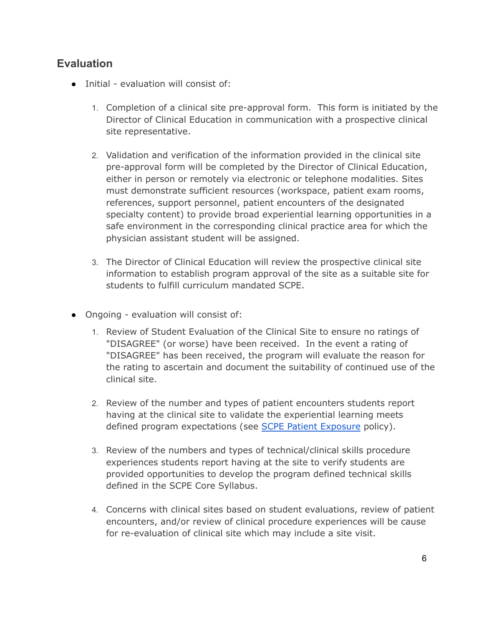### **Evaluation**

- Initial evaluation will consist of:
	- 1. Completion of a clinical site pre-approval form. This form is initiated by the Director of Clinical Education in communication with a prospective clinical site representative.
	- 2. Validation and verification of the information provided in the clinical site pre-approval form will be completed by the Director of Clinical Education, either in person or remotely via electronic or telephone modalities. Sites must demonstrate sufficient resources (workspace, patient exam rooms, references, support personnel, patient encounters of the designated specialty content) to provide broad experiential learning opportunities in a safe environment in the corresponding clinical practice area for which the physician assistant student will be assigned.
	- 3. The Director of Clinical Education will review the prospective clinical site information to establish program approval of the site as a suitable site for students to fulfill curriculum mandated SCPE.
- Ongoing evaluation will consist of:
	- 1. Review of Student Evaluation of the Clinical Site to ensure no ratings of "DISAGREE" (or worse) have been received. In the event a rating of "DISAGREE" has been received, the program will evaluate the reason for the rating to ascertain and document the suitability of continued use of the clinical site.
	- 2. Review of the number and types of patient encounters students report having at the clinical site to validate the experiential learning meets defined program expectations (see SCPE Patient Exposure policy).
	- 3. Review of the numbers and types of technical/clinical skills procedure experiences students report having at the site to verify students are provided opportunities to develop the program defined technical skills defined in the SCPE Core Syllabus.
	- 4. Concerns with clinical sites based on student evaluations, review of patient encounters, and/or review of clinical procedure experiences will be cause for re-evaluation of clinical site which may include a site visit.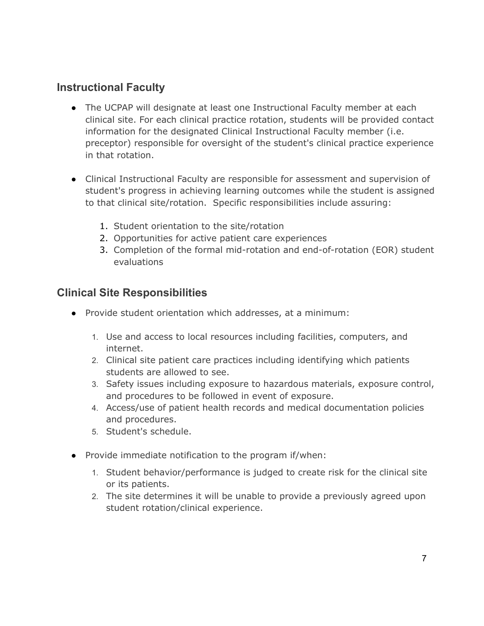# **Instructional Faculty**

- The UCPAP will designate at least one Instructional Faculty member at each clinical site. For each clinical practice rotation, students will be provided contact information for the designated Clinical Instructional Faculty member (i.e. preceptor) responsible for oversight of the student's clinical practice experience in that rotation.
- Clinical Instructional Faculty are responsible for assessment and supervision of student's progress in achieving learning outcomes while the student is assigned to that clinical site/rotation. Specific responsibilities include assuring:
	- 1. Student orientation to the site/rotation
	- 2. Opportunities for active patient care experiences
	- 3. Completion of the formal mid-rotation and end-of-rotation (EOR) student evaluations

### **Clinical Site Responsibilities**

- Provide student orientation which addresses, at a minimum:
	- 1. Use and access to local resources including facilities, computers, and internet.
	- 2. Clinical site patient care practices including identifying which patients students are allowed to see.
	- 3. Safety issues including exposure to hazardous materials, exposure control, and procedures to be followed in event of exposure.
	- 4. Access/use of patient health records and medical documentation policies and procedures.
	- 5. Student's schedule.
- Provide immediate notification to the program if/when:
	- 1. Student behavior/performance is judged to create risk for the clinical site or its patients.
	- 2. The site determines it will be unable to provide a previously agreed upon student rotation/clinical experience.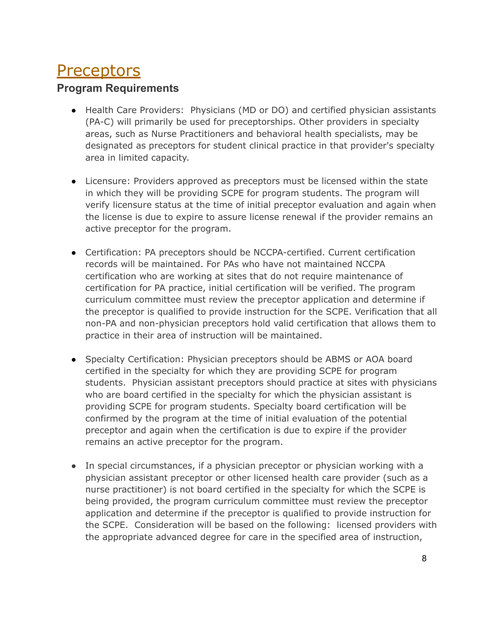# **Preceptors**

## **Program Requirements**

- Health Care Providers: Physicians (MD or DO) and certified physician assistants (PA-C) will primarily be used for preceptorships. Other providers in specialty areas, such as Nurse Practitioners and behavioral health specialists, may be designated as preceptors for student clinical practice in that provider's specialty area in limited capacity.
- Licensure: Providers approved as preceptors must be licensed within the state in which they will be providing SCPE for program students. The program will verify licensure status at the time of initial preceptor evaluation and again when the license is due to expire to assure license renewal if the provider remains an active preceptor for the program.
- Certification: PA preceptors should be NCCPA-certified. Current certification records will be maintained. For PAs who have not maintained NCCPA certification who are working at sites that do not require maintenance of certification for PA practice, initial certification will be verified. The program curriculum committee must review the preceptor application and determine if the preceptor is qualified to provide instruction for the SCPE. Verification that all non-PA and non-physician preceptors hold valid certification that allows them to practice in their area of instruction will be maintained.
- Specialty Certification: Physician preceptors should be ABMS or AOA board certified in the specialty for which they are providing SCPE for program students. Physician assistant preceptors should practice at sites with physicians who are board certified in the specialty for which the physician assistant is providing SCPE for program students. Specialty board certification will be confirmed by the program at the time of initial evaluation of the potential preceptor and again when the certification is due to expire if the provider remains an active preceptor for the program.
- In special circumstances, if a physician preceptor or physician working with a physician assistant preceptor or other licensed health care provider (such as a nurse practitioner) is not board certified in the specialty for which the SCPE is being provided, the program curriculum committee must review the preceptor application and determine if the preceptor is qualified to provide instruction for the SCPE. Consideration will be based on the following: licensed providers with the appropriate advanced degree for care in the specified area of instruction,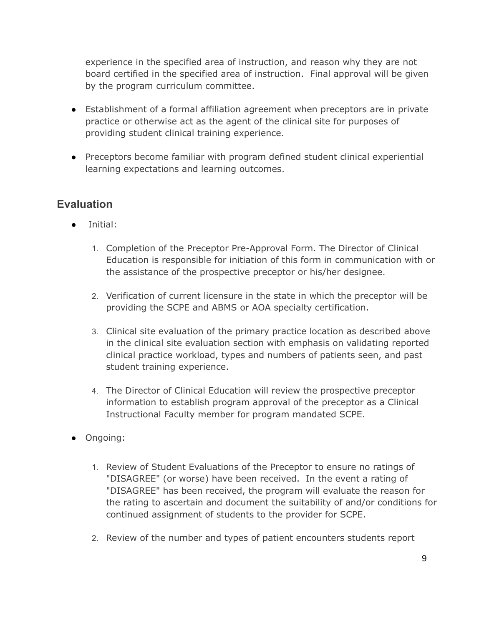experience in the specified area of instruction, and reason why they are not board certified in the specified area of instruction. Final approval will be given by the program curriculum committee.

- Establishment of a formal affiliation agreement when preceptors are in private practice or otherwise act as the agent of the clinical site for purposes of providing student clinical training experience.
- Preceptors become familiar with program defined student clinical experiential learning expectations and learning outcomes.

### **Evaluation**

- Initial:
	- 1. Completion of the Preceptor Pre-Approval Form. The Director of Clinical Education is responsible for initiation of this form in communication with or the assistance of the prospective preceptor or his/her designee.
	- 2. Verification of current licensure in the state in which the preceptor will be providing the SCPE and ABMS or AOA specialty certification.
	- 3. Clinical site evaluation of the primary practice location as described above in the clinical site evaluation section with emphasis on validating reported clinical practice workload, types and numbers of patients seen, and past student training experience.
	- 4. The Director of Clinical Education will review the prospective preceptor information to establish program approval of the preceptor as a Clinical Instructional Faculty member for program mandated SCPE.
- Ongoing:
	- 1. Review of Student Evaluations of the Preceptor to ensure no ratings of "DISAGREE" (or worse) have been received. In the event a rating of "DISAGREE" has been received, the program will evaluate the reason for the rating to ascertain and document the suitability of and/or conditions for continued assignment of students to the provider for SCPE.
	- 2. Review of the number and types of patient encounters students report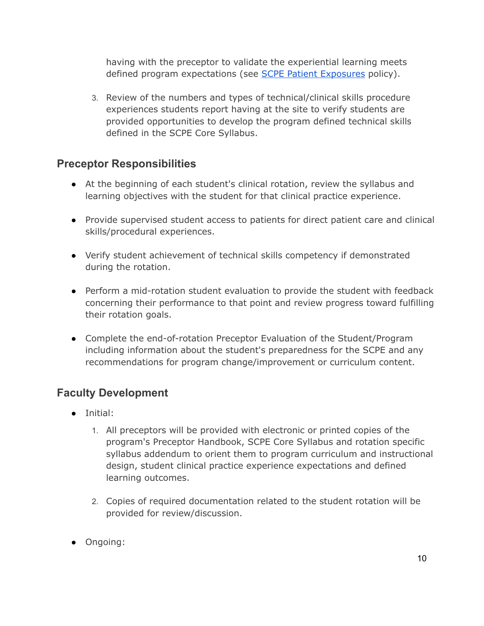having with the preceptor to validate the experiential learning meets defined program expectations (see SCPE Patient Exposures policy).

3. Review of the numbers and types of technical/clinical skills procedure experiences students report having at the site to verify students are provided opportunities to develop the program defined technical skills defined in the SCPE Core Syllabus.

### **Preceptor Responsibilities**

- At the beginning of each student's clinical rotation, review the syllabus and learning objectives with the student for that clinical practice experience.
- Provide supervised student access to patients for direct patient care and clinical skills/procedural experiences.
- Verify student achievement of technical skills competency if demonstrated during the rotation.
- Perform a mid-rotation student evaluation to provide the student with feedback concerning their performance to that point and review progress toward fulfilling their rotation goals.
- Complete the end-of-rotation Preceptor Evaluation of the Student/Program including information about the student's preparedness for the SCPE and any recommendations for program change/improvement or curriculum content.

### **Faculty Development**

- Initial:
	- 1. All preceptors will be provided with electronic or printed copies of the program's Preceptor Handbook, SCPE Core Syllabus and rotation specific syllabus addendum to orient them to program curriculum and instructional design, student clinical practice experience expectations and defined learning outcomes.
	- 2. Copies of required documentation related to the student rotation will be provided for review/discussion.
- Ongoing: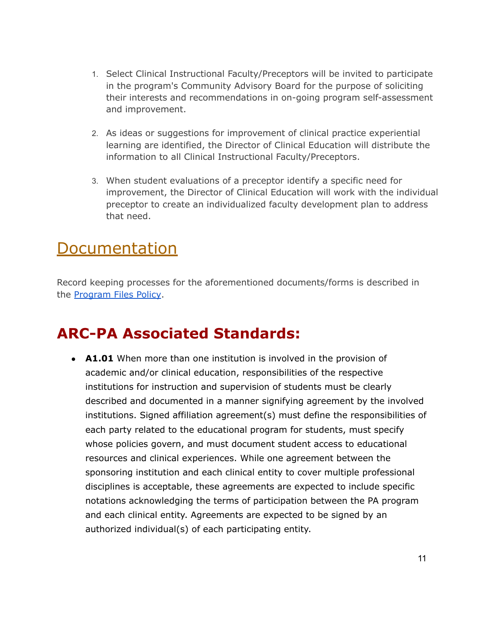- 1. Select Clinical Instructional Faculty/Preceptors will be invited to participate in the program's Community Advisory Board for the purpose of soliciting their interests and recommendations in on-going program self-assessment and improvement.
- 2. As ideas or suggestions for improvement of clinical practice experiential learning are identified, the Director of Clinical Education will distribute the information to all Clinical Instructional Faculty/Preceptors.
- 3. When student evaluations of a preceptor identify a specific need for improvement, the Director of Clinical Education will work with the individual preceptor to create an individualized faculty development plan to address that need.

# **Documentation**

Record keeping processes for the aforementioned documents/forms is described in the Program Files Policy.

# **ARC-PA Associated Standards:**

• **A1.01** When more than one institution is involved in the provision of academic and/or clinical education, responsibilities of the respective institutions for instruction and supervision of students must be clearly described and documented in a manner signifying agreement by the involved institutions. Signed affiliation agreement(s) must define the responsibilities of each party related to the educational program for students, must specify whose policies govern, and must document student access to educational resources and clinical experiences. While one agreement between the sponsoring institution and each clinical entity to cover multiple professional disciplines is acceptable, these agreements are expected to include specific notations acknowledging the terms of participation between the PA program and each clinical entity. Agreements are expected to be signed by an authorized individual(s) of each participating entity.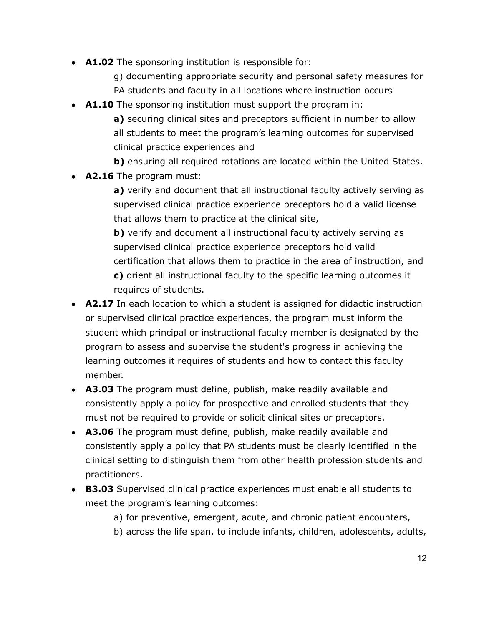- **A1.02** The sponsoring institution is responsible for:
	- g) documenting appropriate security and personal safety measures for
	- PA students and faculty in all locations where instruction occurs
- **A1.10** The sponsoring institution must support the program in:
	- **a)** securing clinical sites and preceptors sufficient in number to allow all students to meet the program's learning outcomes for supervised clinical practice experiences and
	- **b)** ensuring all required rotations are located within the United States.
- **A2.16** The program must:
	- **a)** verify and document that all instructional faculty actively serving as supervised clinical practice experience preceptors hold a valid license that allows them to practice at the clinical site,
	- **b)** verify and document all instructional faculty actively serving as supervised clinical practice experience preceptors hold valid certification that allows them to practice in the area of instruction, and **c)** orient all instructional faculty to the specific learning outcomes it requires of students.
- **A2.17** In each location to which a student is assigned for didactic instruction or supervised clinical practice experiences, the program must inform the student which principal or instructional faculty member is designated by the program to assess and supervise the student's progress in achieving the learning outcomes it requires of students and how to contact this faculty member.
- **A3.03** The program must define, publish, make readily available and consistently apply a policy for prospective and enrolled students that they must not be required to provide or solicit clinical sites or preceptors.
- **A3.06** The program must define, publish, make readily available and consistently apply a policy that PA students must be clearly identified in the clinical setting to distinguish them from other health profession students and practitioners.
- **B3.03** Supervised clinical practice experiences must enable all students to meet the program's learning outcomes:
	- a) for preventive, emergent, acute, and chronic patient encounters,
	- b) across the life span, to include infants, children, adolescents, adults,